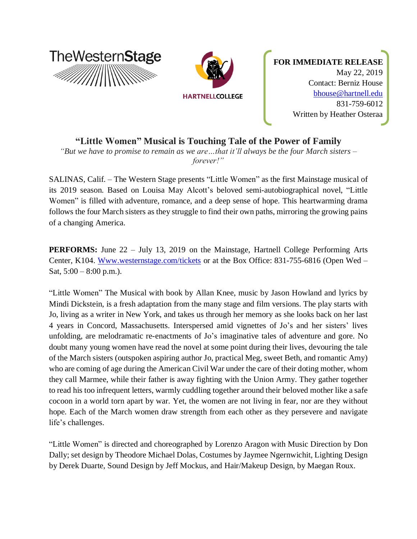

[bhouse@hartnell.edu](mailto:bhouse@hartnell.edu) 831-759-6012 Written by Heather Osteraa

## **"Little Women" Musical is Touching Tale of the Power of Family**

*"But we have to promise to remain as we are…that it'll always be the four March sisters – forever!"*

SALINAS, Calif. – The Western Stage presents "Little Women" as the first Mainstage musical of its 2019 season. Based on Louisa May Alcott's beloved semi-autobiographical novel, "Little Women" is filled with adventure, romance, and a deep sense of hope. This heartwarming drama follows the four March sisters as they struggle to find their own paths, mirroring the growing pains of a changing America.

PERFORMS: June 22 - July 13, 2019 on the Mainstage, Hartnell College Performing Arts Center, K104. [Www.westernstage.com/tickets](http://www.westernstage.com/tickets) or at the Box Office: 831-755-6816 (Open Wed – Sat,  $5:00 - 8:00$  p.m.).

"Little Women" The Musical with book by Allan Knee, music by Jason Howland and lyrics by Mindi Dickstein, is a fresh adaptation from the many stage and film versions. The play starts with Jo, living as a writer in New York, and takes us through her memory as she looks back on her last 4 years in Concord, Massachusetts. Interspersed amid vignettes of Jo's and her sisters' lives unfolding, are melodramatic re-enactments of Jo's imaginative tales of adventure and gore. No doubt many young women have read the novel at some point during their lives, devouring the tale of the March sisters (outspoken aspiring author Jo, practical Meg, sweet Beth, and romantic Amy) who are coming of age during the American Civil War under the care of their doting mother, whom they call Marmee, while their father is away fighting with the Union Army. They gather together to read his too infrequent letters, warmly cuddling together around their beloved mother like a safe cocoon in a world torn apart by war. Yet, the women are not living in fear, nor are they without hope. Each of the March women draw strength from each other as they persevere and navigate life's challenges.

"Little Women" is directed and choreographed by Lorenzo Aragon with Music Direction by Don Dally; set design by Theodore Michael Dolas, Costumes by Jaymee Ngernwichit, Lighting Design by Derek Duarte, Sound Design by Jeff Mockus, and Hair/Makeup Design, by Maegan Roux.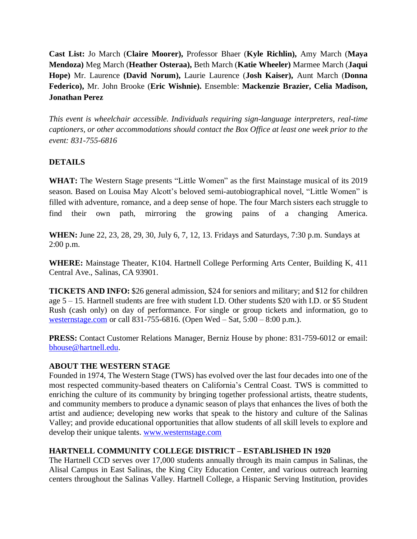**Cast List:** Jo March (**Claire Moorer),** Professor Bhaer (**Kyle Richlin),** Amy March (**Maya Mendoza)** Meg March (**Heather Osteraa),** Beth March (**Katie Wheeler)** Marmee March (**Jaqui Hope)** Mr. Laurence **(David Norum),** Laurie Laurence (**Josh Kaiser),** Aunt March (**Donna Federico),** Mr. John Brooke (**Eric Wishnie).** Ensemble: **Mackenzie Brazier, Celia Madison, Jonathan Perez**

*This event is wheelchair accessible. Individuals requiring sign-language interpreters, real-time captioners, or other accommodations should contact the Box Office at least one week prior to the event: 831-755-6816*

## **DETAILS**

**WHAT:** The Western Stage presents "Little Women" as the first Mainstage musical of its 2019 season. Based on Louisa May Alcott's beloved semi-autobiographical novel, "Little Women" is filled with adventure, romance, and a deep sense of hope. The four March sisters each struggle to find their own path, mirroring the growing pains of a changing America.

**WHEN:** June 22, 23, 28, 29, 30, July 6, 7, 12, 13. Fridays and Saturdays, 7:30 p.m. Sundays at 2:00 p.m.

**WHERE:** Mainstage Theater, K104. Hartnell College Performing Arts Center, Building K, 411 Central Ave., Salinas, CA 93901.

**TICKETS AND INFO:** \$26 general admission, \$24 for seniors and military; and \$12 for children age 5 – 15. Hartnell students are free with student I.D. Other students \$20 with I.D. or \$5 Student Rush (cash only) on day of performance. For single or group tickets and information, go to [westernstage.com](http://www.westernstage.com/) or call 831-755-6816. (Open Wed – Sat, 5:00 – 8:00 p.m.).

**PRESS:** Contact Customer Relations Manager, Berniz House by phone: 831-759-6012 or email: [bhouse@hartnell.edu.](mailto:bhouse@hartnell.edu)

## **ABOUT THE WESTERN STAGE**

Founded in 1974, The Western Stage (TWS) has evolved over the last four decades into one of the most respected community-based theaters on California's Central Coast. TWS is committed to enriching the culture of its community by bringing together professional artists, theatre students, and community members to produce a dynamic season of plays that enhances the lives of both the artist and audience; developing new works that speak to the history and culture of the Salinas Valley; and provide educational opportunities that allow students of all skill levels to explore and develop their unique talents. [www.westernstage.com](http://www.westernstage.com/)

## **HARTNELL COMMUNITY COLLEGE DISTRICT – ESTABLISHED IN 1920**

The Hartnell CCD serves over 17,000 students annually through its main campus in Salinas, the Alisal Campus in East Salinas, the King City Education Center, and various outreach learning centers throughout the Salinas Valley. Hartnell College, a Hispanic Serving Institution, provides